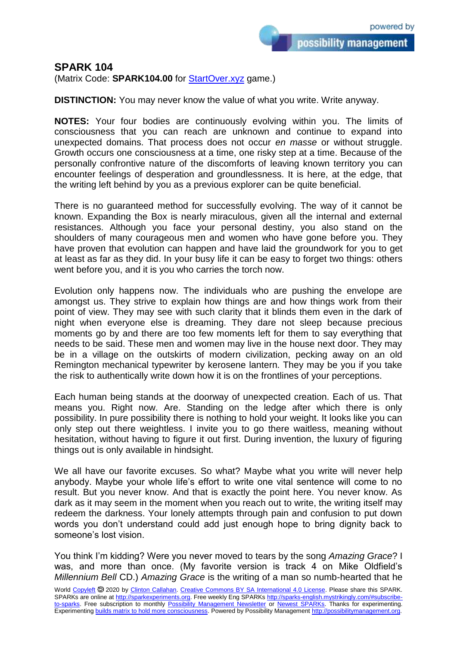possibility management

**SPARK 104**

(Matrix Code: **SPARK104.00** for **StartOver.xyz** game.)

**DISTINCTION:** You may never know the value of what you write. Write anyway.

**NOTES:** Your four bodies are continuously evolving within you. The limits of consciousness that you can reach are unknown and continue to expand into unexpected domains. That process does not occur *en masse* or without struggle. Growth occurs one consciousness at a time, one risky step at a time. Because of the personally confrontive nature of the discomforts of leaving known territory you can encounter feelings of desperation and groundlessness. It is here, at the edge, that the writing left behind by you as a previous explorer can be quite beneficial.

There is no guaranteed method for successfully evolving. The way of it cannot be known. Expanding the Box is nearly miraculous, given all the internal and external resistances. Although you face your personal destiny, you also stand on the shoulders of many courageous men and women who have gone before you. They have proven that evolution can happen and have laid the groundwork for you to get at least as far as they did. In your busy life it can be easy to forget two things: others went before you, and it is you who carries the torch now.

Evolution only happens now. The individuals who are pushing the envelope are amongst us. They strive to explain how things are and how things work from their point of view. They may see with such clarity that it blinds them even in the dark of night when everyone else is dreaming. They dare not sleep because precious moments go by and there are too few moments left for them to say everything that needs to be said. These men and women may live in the house next door. They may be in a village on the outskirts of modern civilization, pecking away on an old Remington mechanical typewriter by kerosene lantern. They may be you if you take the risk to authentically write down how it is on the frontlines of your perceptions.

Each human being stands at the doorway of unexpected creation. Each of us. That means you. Right now. Are. Standing on the ledge after which there is only possibility. In pure possibility there is nothing to hold your weight. It looks like you can only step out there weightless. I invite you to go there waitless, meaning without hesitation, without having to figure it out first. During invention, the luxury of figuring things out is only available in hindsight.

We all have our favorite excuses. So what? Maybe what you write will never help anybody. Maybe your whole life's effort to write one vital sentence will come to no result. But you never know. And that is exactly the point here. You never know. As dark as it may seem in the moment when you reach out to write, the writing itself may redeem the darkness. Your lonely attempts through pain and confusion to put down words you don't understand could add just enough hope to bring dignity back to someone's lost vision.

You think I'm kidding? Were you never moved to tears by the song *Amazing Grace*? I was, and more than once. (My favorite version is track 4 on Mike Oldfield's *Millennium Bell* CD.) *Amazing Grace* is the writing of a man so numb-hearted that he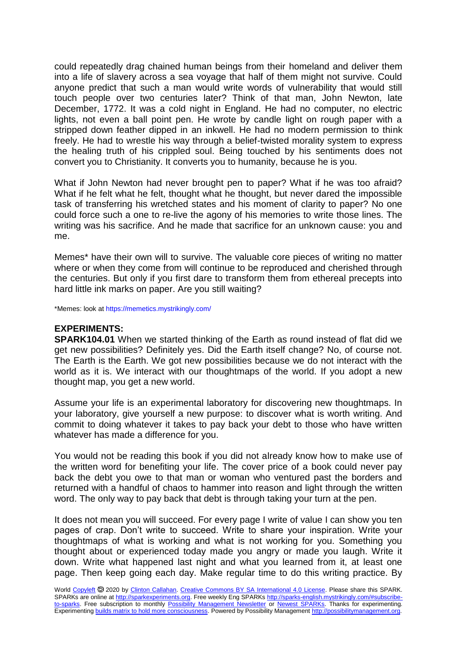could repeatedly drag chained human beings from their homeland and deliver them into a life of slavery across a sea voyage that half of them might not survive. Could anyone predict that such a man would write words of vulnerability that would still touch people over two centuries later? Think of that man, John Newton, late December, 1772. It was a cold night in England. He had no computer, no electric lights, not even a ball point pen. He wrote by candle light on rough paper with a stripped down feather dipped in an inkwell. He had no modern permission to think freely. He had to wrestle his way through a belief-twisted morality system to express the healing truth of his crippled soul. Being touched by his sentiments does not convert you to Christianity. It converts you to humanity, because he is you.

What if John Newton had never brought pen to paper? What if he was too afraid? What if he felt what he felt, thought what he thought, but never dared the impossible task of transferring his wretched states and his moment of clarity to paper? No one could force such a one to re-live the agony of his memories to write those lines. The writing was his sacrifice. And he made that sacrifice for an unknown cause: you and me.

Memes\* have their own will to survive. The valuable core pieces of writing no matter where or when they come from will continue to be reproduced and cherished through the centuries. But only if you first dare to transform them from ethereal precepts into hard little ink marks on paper. Are you still waiting?

\*Memes: look at https://memetics.mystrikingly.com/

## **EXPERIMENTS:**

**SPARK104.01** When we started thinking of the Earth as round instead of flat did we get new possibilities? Definitely yes. Did the Earth itself change? No, of course not. The Earth is the Earth. We got new possibilities because we do not interact with the world as it is. We interact with our thoughtmaps of the world. If you adopt a new thought map, you get a new world.

Assume your life is an experimental laboratory for discovering new thoughtmaps. In your laboratory, give yourself a new purpose: to discover what is worth writing. And commit to doing whatever it takes to pay back your debt to those who have written whatever has made a difference for you.

You would not be reading this book if you did not already know how to make use of the written word for benefiting your life. The cover price of a book could never pay back the debt you owe to that man or woman who ventured past the borders and returned with a handful of chaos to hammer into reason and light through the written word. The only way to pay back that debt is through taking your turn at the pen.

It does not mean you will succeed. For every page I write of value I can show you ten pages of crap. Don't write to succeed. Write to share your inspiration. Write your thoughtmaps of what is working and what is not working for you. Something you thought about or experienced today made you angry or made you laugh. Write it down. Write what happened last night and what you learned from it, at least one page. Then keep going each day. Make regular time to do this writing practice. By